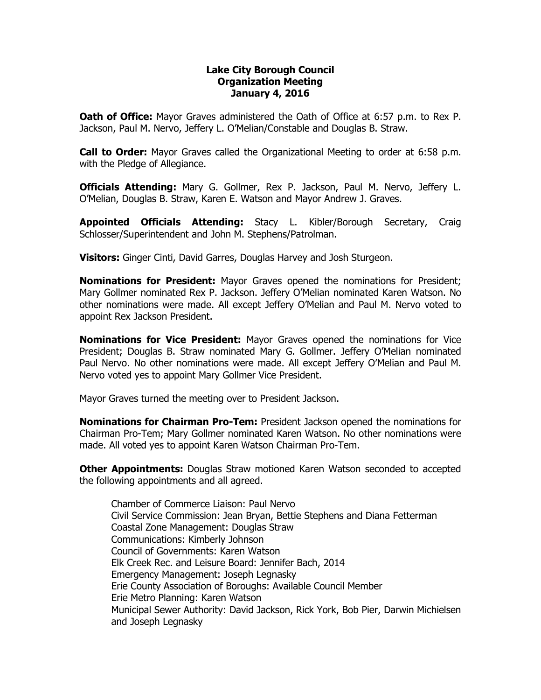## **Lake City Borough Council Organization Meeting January 4, 2016**

**Oath of Office:** Mayor Graves administered the Oath of Office at 6:57 p.m. to Rex P. Jackson, Paul M. Nervo, Jeffery L. O'Melian/Constable and Douglas B. Straw.

**Call to Order:** Mayor Graves called the Organizational Meeting to order at 6:58 p.m. with the Pledge of Allegiance.

**Officials Attending:** Mary G. Gollmer, Rex P. Jackson, Paul M. Nervo, Jeffery L. O'Melian, Douglas B. Straw, Karen E. Watson and Mayor Andrew J. Graves.

**Appointed Officials Attending:** Stacy L. Kibler/Borough Secretary, Craig Schlosser/Superintendent and John M. Stephens/Patrolman.

**Visitors:** Ginger Cinti, David Garres, Douglas Harvey and Josh Sturgeon.

**Nominations for President:** Mayor Graves opened the nominations for President; Mary Gollmer nominated Rex P. Jackson. Jeffery O'Melian nominated Karen Watson. No other nominations were made. All except Jeffery O'Melian and Paul M. Nervo voted to appoint Rex Jackson President.

**Nominations for Vice President:** Mayor Graves opened the nominations for Vice President; Douglas B. Straw nominated Mary G. Gollmer. Jeffery O'Melian nominated Paul Nervo. No other nominations were made. All except Jeffery O'Melian and Paul M. Nervo voted yes to appoint Mary Gollmer Vice President.

Mayor Graves turned the meeting over to President Jackson.

**Nominations for Chairman Pro-Tem:** President Jackson opened the nominations for Chairman Pro-Tem; Mary Gollmer nominated Karen Watson. No other nominations were made. All voted yes to appoint Karen Watson Chairman Pro-Tem.

**Other Appointments:** Douglas Straw motioned Karen Watson seconded to accepted the following appointments and all agreed.

Chamber of Commerce Liaison: Paul Nervo Civil Service Commission: Jean Bryan, Bettie Stephens and Diana Fetterman Coastal Zone Management: Douglas Straw Communications: Kimberly Johnson Council of Governments: Karen Watson Elk Creek Rec. and Leisure Board: Jennifer Bach, 2014 Emergency Management: Joseph Legnasky Erie County Association of Boroughs: Available Council Member Erie Metro Planning: Karen Watson Municipal Sewer Authority: David Jackson, Rick York, Bob Pier, Darwin Michielsen and Joseph Legnasky